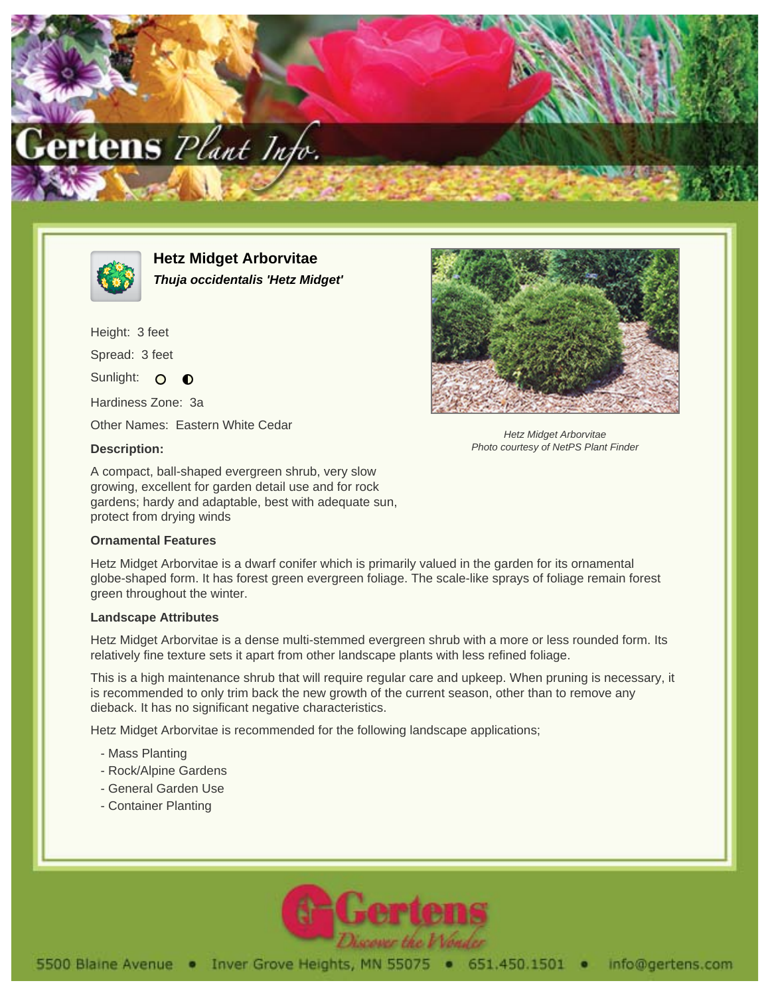



**Hetz Midget Arborvitae Thuja occidentalis 'Hetz Midget'**

Height: 3 feet Spread: 3 feet Sunlight: O  $\bullet$ 

Hardiness Zone: 3a

Other Names: Eastern White Cedar

## **Description:**

A compact, ball-shaped evergreen shrub, very slow growing, excellent for garden detail use and for rock gardens; hardy and adaptable, best with adequate sun, protect from drying winds

## **Ornamental Features**

Hetz Midget Arborvitae is a dwarf conifer which is primarily valued in the garden for its ornamental globe-shaped form. It has forest green evergreen foliage. The scale-like sprays of foliage remain forest green throughout the winter.

## **Landscape Attributes**

Hetz Midget Arborvitae is a dense multi-stemmed evergreen shrub with a more or less rounded form. Its relatively fine texture sets it apart from other landscape plants with less refined foliage.

This is a high maintenance shrub that will require regular care and upkeep. When pruning is necessary, it is recommended to only trim back the new growth of the current season, other than to remove any dieback. It has no significant negative characteristics.

Hetz Midget Arborvitae is recommended for the following landscape applications;

- Mass Planting
- Rock/Alpine Gardens
- General Garden Use
- Container Planting





Hetz Midget Arborvitae Photo courtesy of NetPS Plant Finder